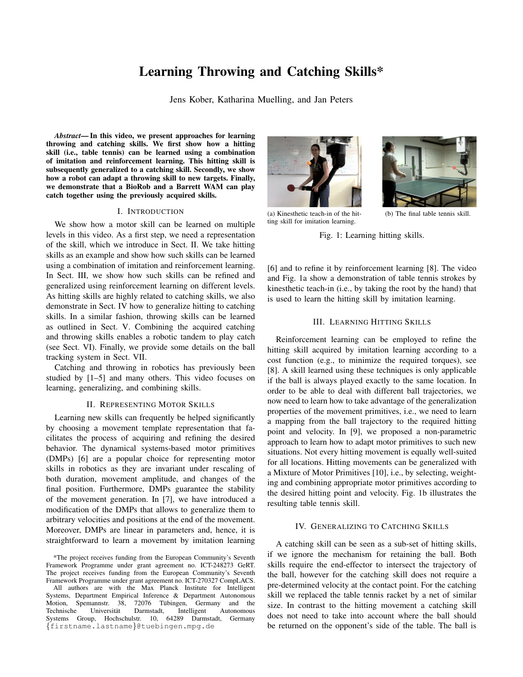# Learning Throwing and Catching Skills\*

Jens Kober, Katharina Muelling, and Jan Peters

*Abstract*— In this video, we present approaches for learning throwing and catching skills. We first show how a hitting skill (i.e., table tennis) can be learned using a combination of imitation and reinforcement learning. This hitting skill is subsequently generalized to a catching skill. Secondly, we show how a robot can adapt a throwing skill to new targets. Finally, we demonstrate that a BioRob and a Barrett WAM can play catch together using the previously acquired skills.

#### I. INTRODUCTION

We show how a motor skill can be learned on multiple levels in this video. As a first step, we need a representation of the skill, which we introduce in Sect. II. We take hitting skills as an example and show how such skills can be learned using a combination of imitation and reinforcement learning. In Sect. III, we show how such skills can be refined and generalized using reinforcement learning on different levels. As hitting skills are highly related to catching skills, we also demonstrate in Sect. IV how to generalize hitting to catching skills. In a similar fashion, throwing skills can be learned as outlined in Sect. V. Combining the acquired catching and throwing skills enables a robotic tandem to play catch (see Sect. VI). Finally, we provide some details on the ball tracking system in Sect. VII.

Catching and throwing in robotics has previously been studied by [1–5] and many others. This video focuses on learning, generalizing, and combining skills.

## II. REPRESENTING MOTOR SKILLS

Learning new skills can frequently be helped significantly by choosing a movement template representation that facilitates the process of acquiring and refining the desired behavior. The dynamical systems-based motor primitives (DMPs) [6] are a popular choice for representing motor skills in robotics as they are invariant under rescaling of both duration, movement amplitude, and changes of the final position. Furthermore, DMPs guarantee the stability of the movement generation. In [7], we have introduced a modification of the DMPs that allows to generalize them to arbitrary velocities and positions at the end of the movement. Moreover, DMPs are linear in parameters and, hence, it is straightforward to learn a movement by imitation learning

All authors are with the Max Planck Institute for Intelligent Systems, Department Empirical Inference & Department Autonomous Motion, Spemannstr. 38, 72076 Tübingen, Germany and the Technische Universität Darmstadt, Intelligent Autonomous Technische Universität Darmstadt, Intelligent Autonomous Systems Group, Hochschulstr. 10, 64289 Darmstadt, Germany {firstname.lastname}@tuebingen.mpg.de



(a) Kinesthetic teach-in of the hitting skill for imitation learning.



(b) The final table tennis skill.

Fig. 1: Learning hitting skills.

[6] and to refine it by reinforcement learning [8]. The video and Fig. 1a show a demonstration of table tennis strokes by kinesthetic teach-in (i.e., by taking the root by the hand) that is used to learn the hitting skill by imitation learning.

## III. LEARNING HITTING SKILLS

Reinforcement learning can be employed to refine the hitting skill acquired by imitation learning according to a cost function (e.g., to minimize the required torques), see [8]. A skill learned using these techniques is only applicable if the ball is always played exactly to the same location. In order to be able to deal with different ball trajectories, we now need to learn how to take advantage of the generalization properties of the movement primitives, i.e., we need to learn a mapping from the ball trajectory to the required hitting point and velocity. In [9], we proposed a non-parametric approach to learn how to adapt motor primitives to such new situations. Not every hitting movement is equally well-suited for all locations. Hitting movements can be generalized with a Mixture of Motor Primitives [10], i.e., by selecting, weighting and combining appropriate motor primitives according to the desired hitting point and velocity. Fig. 1b illustrates the resulting table tennis skill.

#### IV. GENERALIZING TO CATCHING SKILLS

A catching skill can be seen as a sub-set of hitting skills, if we ignore the mechanism for retaining the ball. Both skills require the end-effector to intersect the trajectory of the ball, however for the catching skill does not require a pre-determined velocity at the contact point. For the catching skill we replaced the table tennis racket by a net of similar size. In contrast to the hitting movement a catching skill does not need to take into account where the ball should be returned on the opponent's side of the table. The ball is

<sup>\*</sup>The project receives funding from the European Community's Seventh Framework Programme under grant agreement no. ICT-248273 GeRT. The project receives funding from the European Community's Seventh Framework Programme under grant agreement no. ICT-270327 CompLACS.